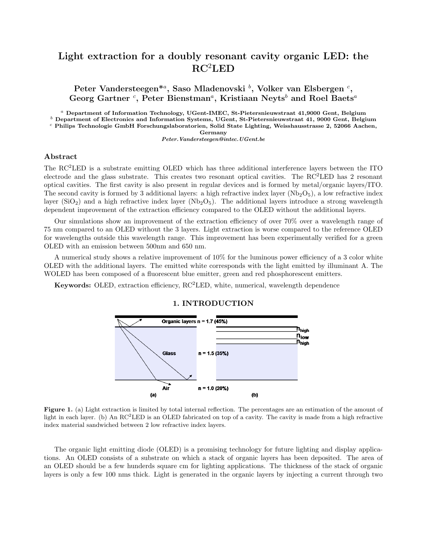# Light extraction for a doubly resonant cavity organic LED: the RC<sup>2</sup>LED

Peter Vandersteegen $^{*a}$ , Saso Mladenovski  $^b$ , Volker van Elsbergen  $^c$ , Georg Gartner  $c$ , Peter Bienstman<sup>a</sup>, Kristiaan Neyts<sup>b</sup> and Roel Baets<sup>a</sup>

<sup>a</sup> Department of Information Technology, UGent-IMEC, St-Pietersnieuwstraat 41,9000 Gent, Belgium

 $<sup>b</sup>$  Department of Electronics and Information Systems, UGent, St-Pietersnieuwstraat 41, 9000 Gent, Belgium</sup>

 $c$  Philips Technologie GmbH Forschungslaboratorien, Solid State Lighting, Weisshausstrasse 2, 52066 Aachen, Germany

Peter.Vandersteegen@intec.UGent.be

## Abstract

The RC2LED is a substrate emitting OLED which has three additional interference layers between the ITO electrode and the glass substrate. This creates two resonant optical cavities. The RC2LED has 2 resonant optical cavities. The first cavity is also present in regular devices and is formed by metal/organic layers/ITO. The second cavity is formed by 3 additional layers: a high refractive index layer ( $Nb<sub>2</sub>O<sub>5</sub>$ ), a low refractive index layer ( $\text{SiO}_2$ ) and a high refractive index layer ( $\text{Nb}_2\text{O}_5$ ). The additional layers introduce a strong wavelength dependent improvement of the extraction efficiency compared to the OLED without the additional layers.

Our simulations show an improvement of the extraction efficiency of over 70% over a wavelength range of 75 nm compared to an OLED without the 3 layers. Light extraction is worse compared to the reference OLED for wavelengths outside this wavelength range. This improvement has been experimentally verified for a green OLED with an emission between 500nm and 650 nm.

A numerical study shows a relative improvement of 10% for the luminous power efficiency of a 3 color white OLED with the additional layers. The emitted white corresponds with the light emitted by illuminant A. The WOLED has been composed of a fluorescent blue emitter, green and red phosphorescent emitters.

Keywords: OLED, extraction efficiency, RC2LED, white, numerical, wavelength dependence





Figure 1. (a) Light extraction is limited by total internal reflection. The percentages are an estimation of the amount of light in each layer. (b) An  $RC^2LED$  is an OLED fabricated on top of a cavity. The cavity is made from a high refractive index material sandwiched between 2 low refractive index layers.

The organic light emitting diode (OLED) is a promising technology for future lighting and display applications. An OLED consists of a substrate on which a stack of organic layers has been deposited. The area of an OLED should be a few hunderds square cm for lighting applications. The thickness of the stack of organic layers is only a few 100 nms thick. Light is generated in the organic layers by injecting a current through two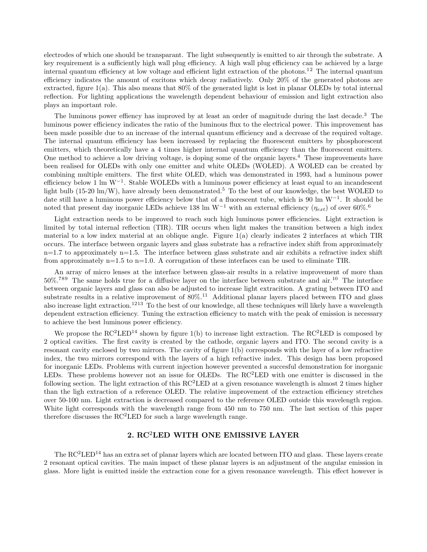electrodes of which one should be transparant. The light subsequently is emitted to air through the substrate. A key requirement is a sufficiently high wall plug efficiency. A high wall plug efficiency can be achieved by a large internal quantum efficiency at low voltage and efficient light extraction of the photons.<sup>12</sup> The internal quantum efficiency indicates the amount of excitons which decay radiatively. Only 20% of the generated photons are extracted, figure 1(a). This also means that 80% of the generated light is lost in planar OLEDs by total internal reflection. For lighting applications the wavelength dependent behaviour of emission and light extraction also plays an important role.

The luminous power effiency has improved by at least an order of magnitude during the last decade.<sup>3</sup> The luminous power efficiency indicates the ratio of the luminous flux to the electrical power. This improvement has been made possible due to an increase of the internal quantum efficiency and a decrease of the required voltage. The internal quantum efficiency has been increased by replacing the fluorescent emitters by phosphorescent emitters, which theoretically have a 4 times higher internal quantum efficiency than the fluorescent emitters. One method to achieve a low driving voltage, is doping some of the organic layers.<sup>4</sup> These improvements have been realised for OLEDs with only one emitter and white OLEDs (WOLED). A WOLED can be created by combining multiple emitters. The first white OLED, which was demonstrated in 1993, had a luminous power efficiency below 1 lm W<sup>-1</sup>. Stable WOLEDs with a luminous power efficiency at least equal to an incandescent light bulb (15-20 lm/W), have already been demonstrated.<sup>5</sup> To the best of our knowledge, the best WOLED to date still have a luminous power efficiency below that of a fluorescent tube, which is 90 lm W<sup>−</sup><sup>1</sup> . It should be noted that present day inorganic LEDs achieve 138 lm W<sup>-1</sup> with an external efficiency ( $\eta_{ext}$ ) of over 60%.<sup>6</sup>

Light extraction needs to be improved to reach such high luminous power efficiencies. Light extraction is limited by total internal reflection (TIR). TIR occurs when light makes the transition between a high index material to a low index material at an oblique angle. Figure 1(a) clearly indicates 2 interfaces at which TIR occurs. The interface between organic layers and glass substrate has a refractive index shift from approximately  $n=1.7$  to approximately  $n=1.5$ . The interface between glass substrate and air exhibits a refractive index shift from approximately  $n=1.5$  to  $n=1.0$ . A corrugation of these interfaces can be used to eliminate TIR.

An array of micro lenses at the interface between glass-air results in a relative improvement of more than 50%.<sup>789</sup> The same holds true for a diffusive layer on the interface between substrate and air.<sup>10</sup> The interface between organic layers and glass can also be adjusted to increase light extracition. A grating between ITO and substrate results in a relative improvement of  $80\%$ .<sup>11</sup> Additional planar layers placed between ITO and glass also increase light extraction.<sup>1213</sup> To the best of our knowledge, all these techniques will likely have a wavelength dependent extraction efficiency. Tuning the extraction efficiency to match with the peak of emission is necessary to achieve the best luminous power efficiency.

We propose the  $RC^2LED^{14}$  shown by figure 1(b) to increase light extraction. The  $RC^2LED$  is composed by 2 optical cavities. The first cavity is created by the cathode, organic layers and ITO. The second cavity is a resonant cavity enclosed by two mirrors. The cavity of figure 1(b) corresponds with the layer of a low refractive index, the two mirrors correspond with the layers of a high refractive index. This design has been proposed for inorganic LEDs. Problems with current injection however prevented a succesful demonstration for inorganic LEDs. These problems however not an issue for OLEDs. The RC<sup>2</sup>LED with one emitter is discussed in the following section. The light extraction of this  $RC^2LED$  at a given resonance wavelength is almost 2 times higher than the ligh extraction of a reference OLED. The relative improvement of the extraction efficiency stretches over 50-100 nm. Light extraction is decreased compared to the reference OLED outside this wavelength region. White light corresponds with the wavelength range from 450 nm to 750 nm. The last section of this paper therefore discusses the  $RC<sup>2</sup>LED$  for such a large wavelength range.

# 2. RC2LED WITH ONE EMISSIVE LAYER

The RC<sup>2</sup>LED<sup>14</sup> has an extra set of planar layers which are located between ITO and glass. These layers create 2 resonant optical cavities. The main impact of these planar layers is an adjustment of the angular emission in glass. More light is emitted inside the extraction cone for a given resonance wavelength. This effect however is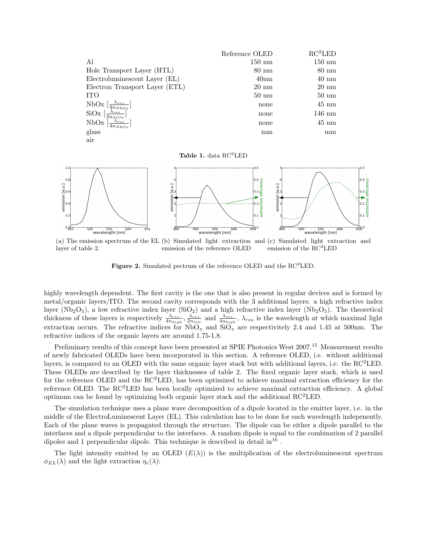|                                                     | Reference OLED       | $RC^2LED$        |
|-----------------------------------------------------|----------------------|------------------|
| Al                                                  | $150 \; \mathrm{nm}$ | $150 \text{ nm}$ |
| Hole Transport Layer (HTL)                          | $80 \text{ nm}$      | $80 \text{ nm}$  |
| Electroluminescent Layer (EL)                       | 40 <sub>nm</sub>     | $40~\mathrm{nm}$ |
| Electron Transport Layer (ETL)                      | $20 \text{ nm}$      | $20 \text{ nm}$  |
| <b>TTO</b>                                          | $50 \text{ nm}$      | $50 \text{ nm}$  |
| NbOx $\left[\frac{\lambda_{res}}{4n_{NbOx}}\right]$ | none                 | $45 \text{ nm}$  |
| SiOx $\left[\frac{\lambda_{res}}{2n_{SiOx}}\right]$ | none                 | $146 \text{ nm}$ |
| NbOx $\left[\frac{\lambda_{res}}{4n_{NbOx}}\right]$ | none                 | $45 \text{ nm}$  |
| glass                                               | mm                   | mm               |
| air                                                 |                      |                  |

Table 1. data  $\rm RC^{2}LED$ 



(a) The emission spectrum of the EL (b) Simulated light extraction and (c) Simulated light extraction and layer of table 2. emission of the reference OLED emission of the  $RC<sup>2</sup>LED$ 

Figure 2. Simulated pectrum of the reference OLED and the  $\rm RC^{2}LED$ .

highly wavelength dependent. The first cavity is the one that is also present in regular devices and is formed by metal/organic layers/ITO. The second cavity corresponds with the 3 additional layers: a high refractive index layer ( $Nb<sub>2</sub>O<sub>5</sub>$ ), a low refractive index layer ( $SiO<sub>2</sub>$ ) and a high refractive index layer ( $Nb<sub>2</sub>O<sub>5</sub>$ ). The theoretical thickness of these layers is respectively  $\frac{\lambda_{res}}{4n_{high}}$ ,  $\frac{\lambda_{res}}{2n_{low}}$  and  $\frac{\lambda_{res}}{4n_{high}}$ ,  $\lambda_{res}$  is the wavelength at which maximal light extraction occurs. The refractive indices for  $NbO_x$  and  $SiO_x$  are respectivitely 2.4 and 1.45 at 500nm. The refractive indices of the organic layers are around 1.75-1.8.

Preliminary results of this concept have been presented at SPIE Photonics West 2007.<sup>15</sup> Measurement results of newly fabricated OLEDs have been incorporated in this section. A reference OLED, i.e. without additional layers, is compared to an OLED with the same organic layer stack but with additional layers, i.e. the RC<sup>2</sup>LED. These OLEDs are described by the layer thicknesses of table 2. The fixed organic layer stack, which is used for the reference OLED and the  $\mathrm{RC}^2\mathrm{LED}$ , has been optimized to achieve maximal extraction efficiency for the reference OLED. The  $RC<sup>2</sup>LED$  has been locally optimized to achieve maximal extraction efficiency. A global optimum can be found by optimizing both organic layer stack and the additional  $RC<sup>2</sup>LED$ .

The simulation technique uses a plane wave decomposition of a dipole located in the emitter layer, i.e. in the middle of the ElectroLuminescent Layer (EL). This calculation has to be done for each wavelength indepenently. Each of the plane waves is propagated through the structure. The dipole can be either a dipole parallel to the interfaces and a dipole perpendicular to the interfaces. A random dipole is equal to the combination of 2 parallel dipoles and 1 perpendicular dipole. This technique is described in detail  $\ln^{16}$ .

The light intensity emitted by an OLED  $(E(\lambda))$  is the multiplication of the electroluminescent spectrum  $\phi_{EL}(\lambda)$  and the light extraction  $\eta_e(\lambda)$ :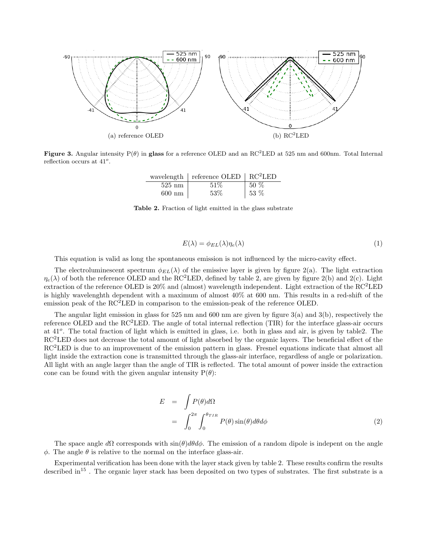

Figure 3. Angular intensity  $P(\theta)$  in glass for a reference OLED and an RC<sup>2</sup>LED at 525 nm and 600nm. Total Internal reflection occurs at  $41^\circ$ .

|                  | wavelength   reference OLED   $RC^2LED$ |        |
|------------------|-----------------------------------------|--------|
| $525 \text{ nm}$ | 51\%                                    | $50\%$ |
| $600 \text{ nm}$ | 53%                                     | 153%   |

Table 2. Fraction of light emitted in the glass substrate

$$
E(\lambda) = \phi_{EL}(\lambda)\eta_e(\lambda) \tag{1}
$$

This equation is valid as long the spontaneous emission is not influenced by the micro-cavity effect.

The electroluminescent spectrum  $\phi_{EL}(\lambda)$  of the emissive layer is given by figure 2(a). The light extraction  $\eta_e(\lambda)$  of both the reference OLED and the RC<sup>2</sup>LED, defined by table 2, are given by figure 2(b) and 2(c). Light extraction of the reference OLED is 20% and (almost) wavelength independent. Light extraction of the  $\text{RC}^2\text{LED}$ is highly wavelenghth dependent with a maximum of almost 40% at 600 nm. This results in a red-shift of the emission peak of the  $RC<sup>2</sup>LED$  in comparison to the emission-peak of the reference OLED.

The angular light emission in glass for 525 nm and 600 nm are given by figure 3(a) and 3(b), respectively the reference OLED and the  $RC<sup>2</sup>LED$ . The angle of total internal reflection (TIR) for the interface glass-air occurs at 41<sup>o</sup>. The total fraction of light which is emitted in glass, i.e. both in glass and air, is given by table2. The RC<sup>2</sup>LED does not decrease the total amount of light absorbed by the organic layers. The beneficial effect of the RC<sup>2</sup>LED is due to an improvement of the emission pattern in glass. Fresnel equations indicate that almost all light inside the extraction cone is transmitted through the glass-air interface, regardless of angle or polarization. All light with an angle larger than the angle of TIR is reflected. The total amount of power inside the extraction cone can be found with the given angular intensity  $P(\theta)$ :

$$
E = \int P(\theta) d\Omega
$$
  
= 
$$
\int_0^{2\pi} \int_0^{\theta_{TIR}} P(\theta) \sin(\theta) d\theta d\phi
$$
 (2)

The space angle  $d\Omega$  corresponds with  $\sin(\theta)d\theta d\phi$ . The emission of a random dipole is indepent on the angle  $\phi$ . The angle  $\theta$  is relative to the normal on the interface glass-air.

Experimental verification has been done with the layer stack given by table 2. These results confirm the results described in<sup>15</sup>. The organic layer stack has been deposited on two types of substrates. The first substrate is a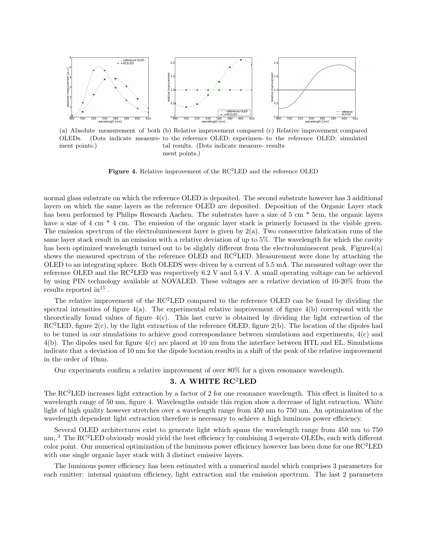

ment points.)

(a) Absolute measurement of both (b) Relative improvement compared (c) Relative improvement compared OLEDs. (Dots indicate measure-to the reference OLED: experimen-to the reference OLED: simulated tal results. (Dots indicate measure-results ment points.)

**Figure 4.** Relative improvement of the  $RC<sup>2</sup>LED$  and the reference OLED

normal glass substrate on which the reference OLED is deposited. The second substrate however has 3 additional layers on which the same layers as the reference OLED are deposited. Deposition of the Organic Layer stack has been performed by Philips Research Aachen. The substrates have a size of 5 cm  $*$  5cm, the organic layers have a size of 4 cm  $*$  4 cm. The emission of the organic layer stack is primerly focussed in the visible green. The emission spectrum of the electroluminescent layer is given by  $2(a)$ . Two consecutive fabrication runs of the same layer stack result in an emission with a relative deviation of up to 5%. The wavelength for which the cavity has been optimized wavelength turned out to be slightly different from the electroluminescent peak. Figure4(a) shows the measured spectrum of the reference OLED and RC<sup>2</sup>LED. Measurement were done by attaching the OLED to an integrating sphere. Both OLEDS were driven by a current of 5.5 mA. The measured voltage over the reference OLED and the RC2LED was respectively 6.2 V and 5.4 V. A small operating voltage can be achieved by using PIN technology available at NOVALED. These voltages are a relative deviation of 10-20% from the results reported  $\text{in}^{15}$ .

The relative improvement of the RC<sup>2</sup>LED compared to the reference OLED can be found by dividing the spectral intensities of figure 4(a). The experimental relative improvement of figure 4(b) correspond with the theoretically found values of figure  $4(c)$ . This last curve is obtained by dividing the light extraction of the  $RC<sup>2</sup>LED$ , figure  $2(c)$ , by the light extraction of the reference OLED, figure  $2(b)$ . The location of the dipoles had to be tuned in our simulations to achieve good correspondance between simulations and experiments, 4(c) and 4(b). The dipoles used for figure 4(c) are placed at 10 nm from the interface between HTL and EL. Simulations indicate that a deviation of 10 nm for the dipole location results in a shift of the peak of the relative improvement in the order of 10nm.

Our experiments confirm a relative improvement of over 80% for a given resonance wavelength.

# 3. A WHITE RC2LED

The  $\rm RC^{2}LED$  increases light extraction by a factor of 2 for one resonance wavelength. This effect is limited to a wavelength range of 50 nm, figure 4. Wavelengths outside this region show a decrease of light extraction. White light of high quality however stretches over a wavelength range from 450 nm to 750 nm. An optimization of the wavelength dependent light extraction therefore is necessary to achieve a high luminous power efficiency.

Several OLED architectures exist to generate light which spans the wavelength range from 450 nm to 750 nm,.<sup>3</sup> The RC<sup>2</sup>LED obviously would yield the best efficiency by combining 3 seperate OLEDs, each with different color point. Our numerical optimization of the luminous power efficiency however has been done for one RC<sup>2</sup>LED with one single organic layer stack with 3 distinct emissive layers.

The luminous power efficiency has been estimated with a numerical model which comprises 3 parameters for each emitter: internal quantum efficiency, light extraction and the emission spectrum. The last 2 parameters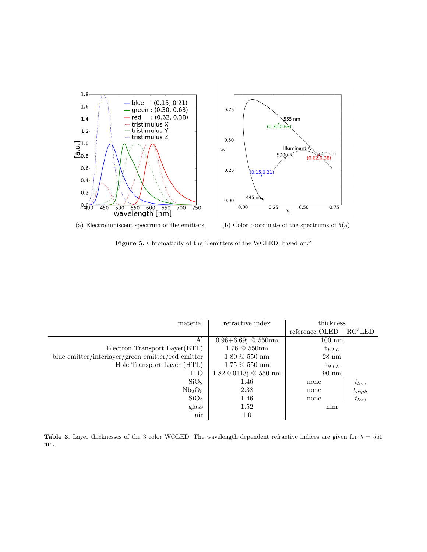

(a) Electrolumiscent spectrum of the emitters. (b) Color coordinate of the spectrums of 5(a)

Figure 5. Chromaticity of the 3 emitters of the WOLED, based on.<sup>5</sup>

| material                                          | refractive index          | thickness        |                     |
|---------------------------------------------------|---------------------------|------------------|---------------------|
|                                                   |                           | reference OLED   | RC <sup>2</sup> LED |
| Al                                                | $0.96 + 6.69$ j @ 550nm   | $100 \text{ nm}$ |                     |
| Electron Transport Layer(ETL)                     | $1.76 \ @ \ 550nm$        | $t_{ETL}$        |                     |
| blue emitter/interlayer/green emitter/red emitter | $1.80 \& 550 \text{ nm}$  | $28 \text{ nm}$  |                     |
| Hole Transport Layer (HTL)                        | $1.75 \ @ \ 550 \ nm$     | $t_{HTL}$        |                     |
| <b>ITO</b>                                        | $1.82 - 0.0113j @ 550$ nm | $90 \text{ nm}$  |                     |
| SiO <sub>2</sub>                                  | 1.46                      | none             | $t_{low}$           |
| Nb <sub>2</sub> O <sub>5</sub>                    | 2.38                      | none             | $t_{high}$          |
| SiO <sub>2</sub>                                  | 1.46                      | none             | $t_{low}$           |
| glass                                             | 1.52                      | mm               |                     |
| air                                               | 1.0                       |                  |                     |

Table 3. Layer thicknesses of the 3 color WOLED. The wavelength dependent refractive indices are given for  $\lambda = 550$ nm.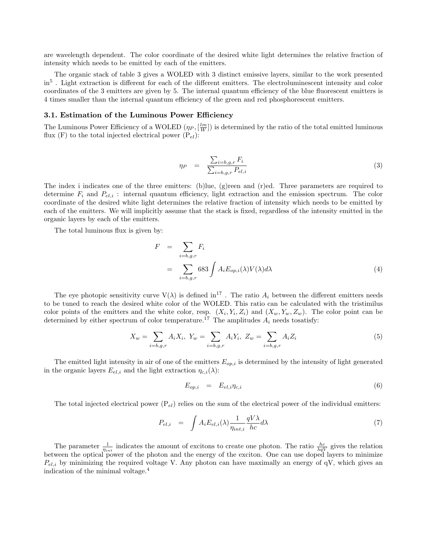are wavelength dependent. The color coordinate of the desired white light determines the relative fraction of intensity which needs to be emitted by each of the emitters.

The organic stack of table 3 gives a WOLED with 3 distinct emissive layers, similar to the work presented in<sup>5</sup>. Light extraction is different for each of the different emitters. The electroluminescent intensity and color coordinates of the 3 emitters are given by 5. The internal quantum efficiency of the blue fluorescent emitters is 4 times smaller than the internal quantum efficiency of the green and red phosphorescent emitters.

## 3.1. Estimation of the Luminous Power Efficiency

The Luminous Power Efficiency of a WOLED  $(\eta_P, [\frac{lm}{W}])$  is determined by the ratio of the total emitted luminous flux (F) to the total injected electrical power  $(P_{el})$ :

$$
\eta_P = \frac{\sum_{i=b,g,r} F_i}{\sum_{i=b,g,r} P_{el,i}} \tag{3}
$$

The index i indicates one of the three emitters: (b)lue, (g)reen and (r)ed. Three parameters are required to determine  $F_i$  and  $P_{el,i}$ : internal quantum efficiency, light extraction and the emission spectrum. The color coordinate of the desired white light determines the relative fraction of intensity which needs to be emitted by each of the emitters. We will implicitly assume that the stack is fixed, regardless of the intensity emitted in the organic layers by each of the emitters.

The total luminous flux is given by:

$$
F = \sum_{i=b,g,r} F_i
$$
  
= 
$$
\sum_{i=b,g,r} 683 \int A_i E_{op,i}(\lambda) V(\lambda) d\lambda
$$
 (4)

The eye photopic sensitivity curve  $V(\lambda)$  is defined in<sup>17</sup>. The ratio  $A_i$  between the different emitters needs to be tuned to reach the desired white color of the WOLED. This ratio can be calculated with the tristimilus color points of the emitters and the white color, resp.  $(X_i, Y_i, Z_i)$  and  $(X_w, Y_w, Z_w)$ . The color point can be determined by either spectrum of color temperature.<sup>17</sup> The amplitudes  $A_i$  needs tosatisfy:

$$
X_w = \sum_{i=b,g,r} A_i X_i, \ Y_w = \sum_{i=b,g,r} A_i Y_i, \ Z_w = \sum_{i=b,g,r} A_i Z_i \tag{5}
$$

The emitted light intensity in air of one of the emitters  $E_{op,i}$  is determined by the intensity of light generated in the organic layers  $E_{el,i}$  and the light extraction  $\eta_{c,i}(\lambda)$ :

$$
E_{op,i} = E_{el,i} \eta_{c,i} \tag{6}
$$

The total injected electrical power  $(P_{el})$  relies on the sum of the electrical power of the individual emitters:

$$
P_{el,i} = \int A_i E_{el,i}(\lambda) \frac{1}{\eta_{int,i}} \frac{qV\lambda}{hc} d\lambda \tag{7}
$$

The parameter  $\frac{1}{n_{int}}$  indicates the amount of excitons to create one photon. The ratio  $\frac{hc}{\lambda qV}$  gives the relation between the optical power of the photon and the energy of the exciton. One can use doped layers to minimize  $P_{el,i}$  by minimizing the required voltage V. Any photon can have maximally an energy of qV, which gives an indication of the minimal voltage.<sup>4</sup>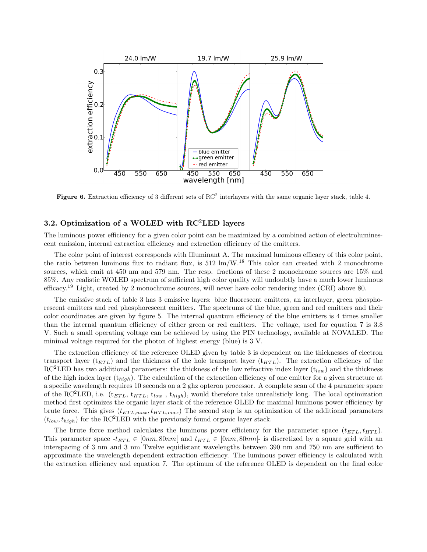

Figure 6. Extraction efficiency of 3 different sets of  $RC<sup>2</sup>$  interlayers with the same organic layer stack, table 4.

## 3.2. Optimization of a WOLED with  $RC<sup>2</sup>LED$  layers

The luminous power efficiency for a given color point can be maximized by a combined action of electroluminescent emission, internal extraction efficiency and extraction efficiency of the emitters.

The color point of interest corresponds with Illuminant A. The maximal luminous efficacy of this color point, the ratio between luminous flux to radiant flux, is  $512 \text{ lm/W}$ .<sup>18</sup> This color can created with 2 monochrome sources, which emit at 450 nm and 579 nm. The resp. fractions of these 2 monochrome sources are 15% and 85%. Any realistic WOLED spectrum of sufficient high color quality will undoubtly have a much lower luminous efficacy.<sup>19</sup> Light, created by 2 monochrome sources, will never have color rendering index (CRI) above 80.

The emissive stack of table 3 has 3 emissive layers: blue fluorescent emitters, an interlayer, green phosphorescent emitters and red phosphorescent emitters. The spectrums of the blue, green and red emitters and their color coordinates are given by figure 5. The internal quantum efficiency of the blue emitters is 4 times smaller than the internal quantum efficiency of either green or red emitters. The voltage, used for equation 7 is 3.8 V. Such a small operating voltage can be achieved by using the PIN technology, available at NOVALED. The minimal voltage required for the photon of highest energy (blue) is 3 V.

The extraction efficiency of the reference OLED given by table 3 is dependent on the thicknesses of electron transport layer ( $t_{ETL}$ ) and the thickness of the hole transport layer ( $t_{HTL}$ ). The extraction efficiency of the RC<sup>2</sup>LED has two additional parameters: the thickness of the low refractive index layer ( $t_{low}$ ) and the thickness of the high index layer  $(t_{high})$ . The calculation of the extraction efficiency of one emitter for a given structure at a specific wavelength requires 10 seconds on a 2 ghz opteron processor. A complete scan of the 4 parameter space of the RC<sup>2</sup>LED, i.e.  $(t_{ETL}, t_{HTL}, t_{low}, t_{high})$ , would therefore take unrealisticly long. The local optimization method first optimizes the organic layer stack of the reference OLED for maximal luminous power efficiency by brute force. This gives  $(t_{ETL,max}, t_{HTL,max})$  The second step is an optimization of the additional parameters  $(t_{low}, t_{high})$  for the RC<sup>2</sup>LED with the previously found organic layer stack.

The brute force method calculates the luminous power efficiency for the parameter space  $(t_{ETL}, t_{HTL})$ . This parameter space  $-t_{ETL} \in [0nm, 80nm]$  and  $t_{HTL} \in [0nm, 80nm]$ - is discretized by a square grid with an interspacing of 3 nm and 3 nm Twelve equidistant wavelengths between 390 nm and 750 nm are sufficient to approximate the wavelength dependent extraction efficiency. The luminous power efficiency is calculated with the extraction efficiency and equation 7. The optimum of the reference OLED is dependent on the final color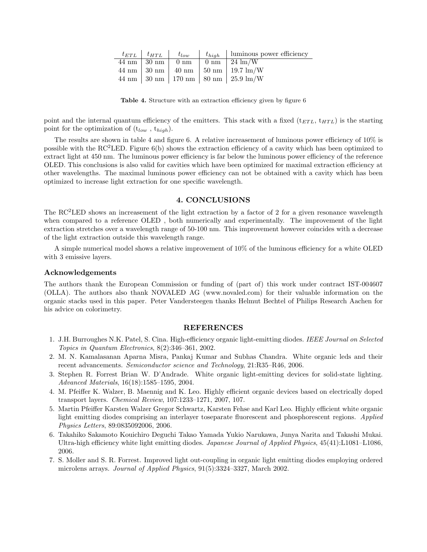|  |  | $t_{ETL}$   $t_{HTL}$   $t_{low}$   $t_{high}$   luminous power efficiency |
|--|--|----------------------------------------------------------------------------|
|  |  | $44 \text{ nm}$   30 nm   0 nm   0 nm   24 lm/W                            |
|  |  | $44 \text{ nm}$   30 nm   40 nm   50 nm   19.7 lm/W                        |
|  |  | $44 \text{ nm}$ 30 nm   170 nm   80 nm   25.9 lm/W                         |

Table 4. Structure with an extraction efficiency given by figure 6

point and the internal quantum efficiency of the emitters. This stack with a fixed  $(t_{ETL}, t_{HTL})$  is the starting point for the optimization of  $(t_{low}, t_{high})$ .

The results are shown in table 4 and figure 6. A relative increasement of luminous power efficiency of 10% is possible with the  $RC^2LED$ . Figure 6(b) shows the extraction efficiency of a cavity which has been optimized to extract light at 450 nm. The luminous power efficiency is far below the luminous power efficiency of the reference OLED. This conclusions is also valid for cavities which have been optimized for maximal extraction efficiency at other wavelengths. The maximal luminous power efficiency can not be obtained with a cavity which has been optimized to increase light extraction for one specific wavelength.

#### 4. CONCLUSIONS

The RC<sup>2</sup>LED shows an increasement of the light extraction by a factor of 2 for a given resonance wavelength when compared to a reference OLED , both numerically and experimentally. The improvement of the light extraction stretches over a wavelength range of 50-100 nm. This improvement however coincides with a decrease of the light extraction outside this wavelength range.

A simple numerical model shows a relative improvement of 10% of the luminous efficiency for a white OLED with 3 emissive layers.

#### Acknowledgements

The authors thank the European Commission or funding of (part of) this work under contract IST-004607 (OLLA). The authors also thank NOVALED AG (www.novaled.com) for their valuable information on the organic stacks used in this paper. Peter Vandersteegen thanks Helmut Bechtel of Philips Research Aachen for his advice on colorimetry.

#### REFERENCES

- 1. J.H. Burroughes N.K. Patel, S. Cina. High-efficiency organic light-emitting diodes. IEEE Journal on Selected Topics in Quantum Electronics, 8(2):346–361, 2002.
- 2. M. N. Kamalasanan Aparna Misra, Pankaj Kumar and Subhas Chandra. White organic leds and their recent advancements. Semiconductor science and Technology, 21:R35–R46, 2006.
- 3. Stephen R. Forrest Brian W. D'Andrade. White organic light-emitting devices for solid-state lighting. Advanced Materials, 16(18):1585–1595, 2004.
- 4. M. Pfeiffer K. Walzer, B. Maennig and K. Leo. Highly efficient organic devices based on electrically doped transport layers. Chemical Review, 107:1233–1271, 2007, 107.
- 5. Martin Pfeiffer Karsten Walzer Gregor Schwartz, Karsten Fehse and Karl Leo. Highly efficient white organic light emitting diodes comprising an interlayer toseparate fluorescent and phosphorescent regions. Applied Physics Letters, 89:0835092006, 2006.
- 6. Takahiko Sakamoto Kouichiro Deguchi Takao Yamada Yukio Narukawa, Junya Narita and Takashi Mukai. Ultra-high efficiency white light emitting diodes. Japanese Journal of Applied Physics, 45(41):L1081–L1086, 2006.
- 7. S. Moller and S. R. Forrest. Improved light out-coupling in organic light emitting diodes employing ordered microlens arrays. Journal of Applied Physics, 91(5):3324–3327, March 2002.